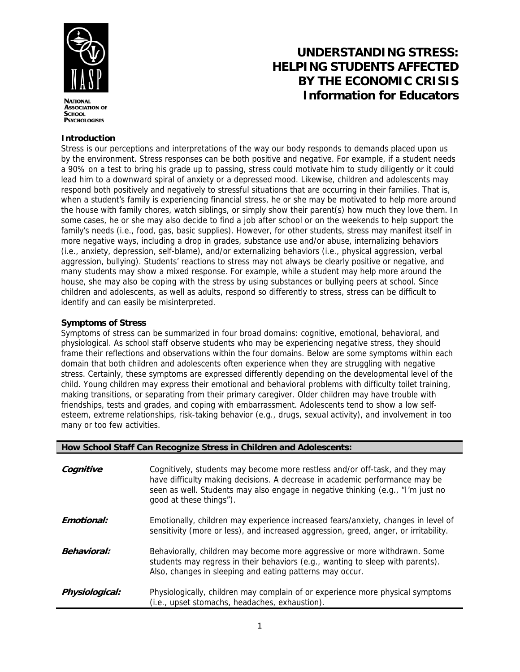

**ASSOCIATION OF SCHOOL PSYCHOLOGISTS** 

# **UNDERSTANDING STRESS: HELPING STUDENTS AFFECTED BY THE ECONOMIC CRISIS Information for Educators**

### **Introduction**

Stress is our perceptions and interpretations of the way our body responds to demands placed upon us by the environment. Stress responses can be both positive and negative. For example, if a student needs a 90% on a test to bring his grade up to passing, stress could motivate him to study diligently or it could lead him to a downward spiral of anxiety or a depressed mood. Likewise, children and adolescents may respond both positively and negatively to stressful situations that are occurring in their families. That is, when a student's family is experiencing financial stress, he or she may be motivated to help more around the house with family chores, watch siblings, or simply show their parent(s) how much they love them. In some cases, he or she may also decide to find a job after school or on the weekends to help support the family's needs (i.e., food, gas, basic supplies). However, for other students, stress may manifest itself in more negative ways, including a drop in grades, substance use and/or abuse, internalizing behaviors (i.e., anxiety, depression, self-blame), and/or externalizing behaviors (i.e., physical aggression, verbal aggression, bullying). Students' reactions to stress may not always be clearly positive or negative, and many students may show a mixed response. For example, while a student may help more around the house, she may also be coping with the stress by using substances or bullying peers at school. Since children and adolescents, as well as adults, respond so differently to stress, stress can be difficult to identify and can easily be misinterpreted.

#### **Symptoms of Stress**

Symptoms of stress can be summarized in four broad domains: cognitive, emotional, behavioral, and physiological. As school staff observe students who may be experiencing negative stress, they should frame their reflections and observations within the four domains. Below are some symptoms within each domain that both children and adolescents often experience when they are struggling with negative stress. Certainly, these symptoms are expressed differently depending on the developmental level of the child. Young children may express their emotional and behavioral problems with difficulty toilet training, making transitions, or separating from their primary caregiver. Older children may have trouble with friendships, tests and grades, and coping with embarrassment. Adolescents tend to show a low selfesteem, extreme relationships, risk-taking behavior (e.g., drugs, sexual activity), and involvement in too many or too few activities.

| How School Staff Can Recognize Stress in Children and Adolescents: |                                                                                                                                                                                                                                                                           |
|--------------------------------------------------------------------|---------------------------------------------------------------------------------------------------------------------------------------------------------------------------------------------------------------------------------------------------------------------------|
| Cognitive                                                          | Cognitively, students may become more restless and/or off-task, and they may<br>have difficulty making decisions. A decrease in academic performance may be<br>seen as well. Students may also engage in negative thinking (e.g., "I'm just no<br>good at these things"). |
| Emotional:                                                         | Emotionally, children may experience increased fears/anxiety, changes in level of<br>sensitivity (more or less), and increased aggression, greed, anger, or irritability.                                                                                                 |
| <b>Behavioral:</b>                                                 | Behaviorally, children may become more aggressive or more withdrawn. Some<br>students may regress in their behaviors (e.g., wanting to sleep with parents).<br>Also, changes in sleeping and eating patterns may occur.                                                   |
| Physiological:                                                     | Physiologically, children may complain of or experience more physical symptoms<br>(i.e., upset stomachs, headaches, exhaustion).                                                                                                                                          |